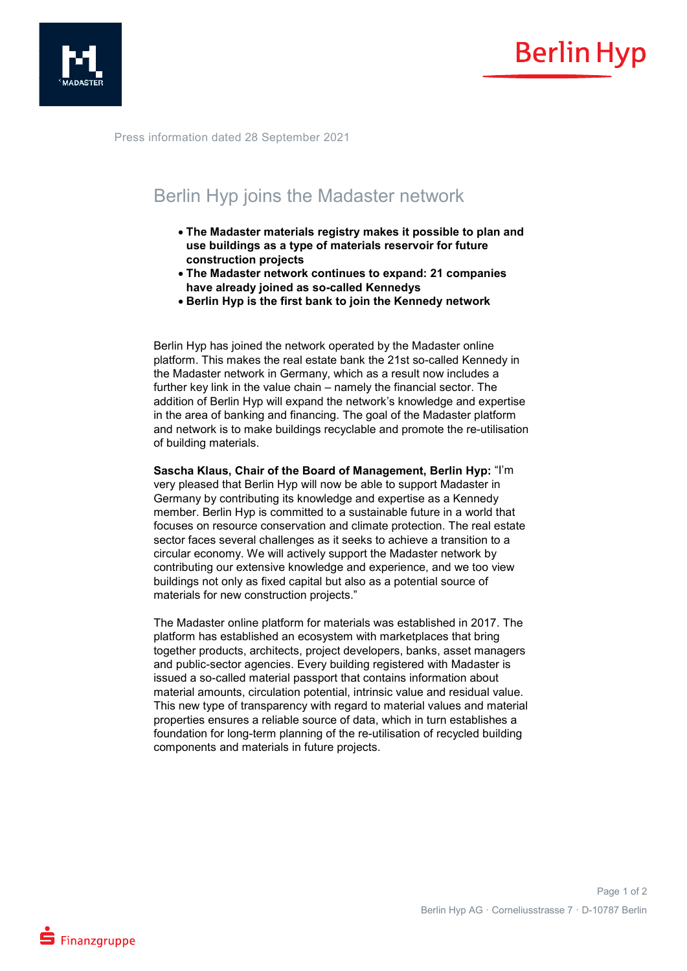



Press information dated 28 September 2021

## Berlin Hyp joins the Madaster network

- **The Madaster materials registry makes it possible to plan and use buildings as a type of materials reservoir for future construction projects**
- **The Madaster network continues to expand: 21 companies have already joined as so-called Kennedys**
- **Berlin Hyp is the first bank to join the Kennedy network**

Berlin Hyp has joined the network operated by the Madaster online platform. This makes the real estate bank the 21st so-called Kennedy in the Madaster network in Germany, which as a result now includes a further key link in the value chain – namely the financial sector. The addition of Berlin Hyp will expand the network's knowledge and expertise in the area of banking and financing. The goal of the Madaster platform and network is to make buildings recyclable and promote the re-utilisation of building materials.

**Sascha Klaus, Chair of the Board of Management, Berlin Hyp:** "I'm very pleased that Berlin Hyp will now be able to support Madaster in Germany by contributing its knowledge and expertise as a Kennedy member. Berlin Hyp is committed to a sustainable future in a world that focuses on resource conservation and climate protection. The real estate sector faces several challenges as it seeks to achieve a transition to a circular economy. We will actively support the Madaster network by contributing our extensive knowledge and experience, and we too view buildings not only as fixed capital but also as a potential source of materials for new construction projects."

The Madaster online platform for materials was established in 2017. The platform has established an ecosystem with marketplaces that bring together products, architects, project developers, banks, asset managers and public-sector agencies. Every building registered with Madaster is issued a so-called material passport that contains information about material amounts, circulation potential, intrinsic value and residual value. This new type of transparency with regard to material values and material properties ensures a reliable source of data, which in turn establishes a foundation for long-term planning of the re-utilisation of recycled building components and materials in future projects.